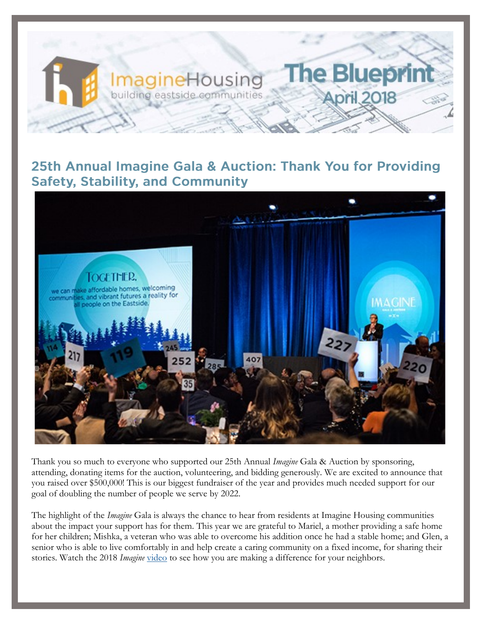

### 25th Annual Imagine Gala & Auction: Thank You for Providing **Safety, Stability, and Community**



Thank you so much to everyone who supported our 25th Annual *Imagine* Gala & Auction by sponsoring, attending, donating items for the auction, volunteering, and bidding generously. We are excited to announce that you raised over \$500,000! This is our biggest fundraiser of the year and provides much needed support for our goal of doubling the number of people we serve by 2022.

The highlight of the *Imagine* Gala is always the chance to hear from residents at Imagine Housing communities about the impact your support has for them. This year we are grateful to Mariel, a mother providing a safe home for her children; Mishka, a veteran who was able to overcome his addition once he had a stable home; and Glen, a senior who is able to live comfortably in and help create a caring community on a fixed income, for sharing their stories. Watch the 2018 *Imagine* [video](https://www.youtube.com/watch?v=KVlgjr5XWDY) to see how you are making a difference for your neighbors.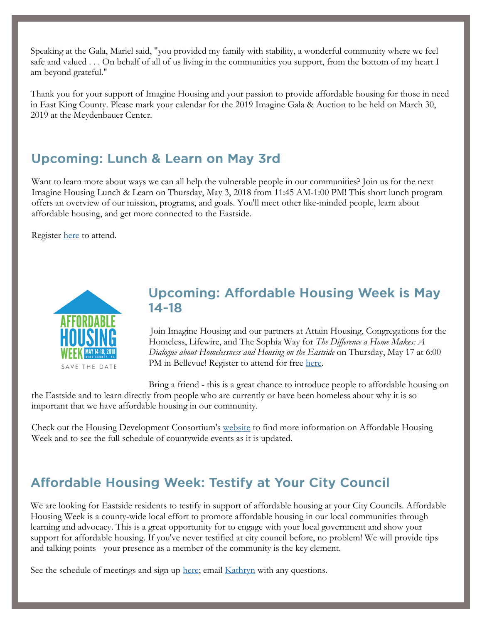Speaking at the Gala, Mariel said, "you provided my family with stability, a wonderful community where we feel safe and valued . . . On behalf of all of us living in the communities you support, from the bottom of my heart I am beyond grateful."

Thank you for your support of Imagine Housing and your passion to provide affordable housing for those in need in East King County. Please mark your calendar for the 2019 Imagine Gala & Auction to be held on March 30, 2019 at the Meydenbauer Center.

## **Upcoming: Lunch & Learn on May 3rd**

Want to learn more about ways we can all help the vulnerable people in our communities? Join us for the next Imagine Housing Lunch & Learn on Thursday, May 3, 2018 from 11:45 AM-1:00 PM! This short lunch program offers an overview of our mission, programs, and goals. You'll meet other like-minded people, learn about affordable housing, and get more connected to the Eastside.

Register [here](https://imaginehousing.org/get-involved/events/lunch-learn-events/) to attend.



#### **Upcoming: Affordable Housing Week is May**  $14 - 18$

Join Imagine Housing and our partners at Attain Housing, Congregations for the Homeless, Lifewire, and The Sophia Way for *The Difference a Home Makes: A Dialogue about Homelessness and Housing on the Eastside* on Thursday, May 17 at 6:00 PM in Bellevue! Register to attend for free [here.](https://www.eventbrite.com/e/the-difference-a-home-makes-tickets-45109077465?aff=es2)

Bring a friend - this is a great chance to introduce people to affordable housing on the Eastside and to learn directly from people who are currently or have been homeless about why it is so important that we have affordable housing in our community.

Check out the Housing Development Consortium's [website](https://www.housingconsortium.org/affordable-housing-week/) to find more information on Affordable Housing Week and to see the full schedule of countywide events as it is updated.

# **Affordable Housing Week: Testify at Your City Council**

We are looking for Eastside residents to testify in support of affordable housing at your City Councils. Affordable Housing Week is a county-wide local effort to promote affordable housing in our local communities through learning and advocacy. This is a great opportunity for to engage with your local government and show your support for affordable housing. If you've never testified at city council before, no problem! We will provide tips and talking points - your presence as a member of the community is the key element.

See the schedule of meetings and sign up [here;](https://docs.google.com/forms/d/e/1FAIpQLScdRnF3i4DIbcvBNMwkF7i-qJ1TTt4CDSRYvgxvi42nErcfvw/viewform) email [Kathryn](mailto:kathrynj@imaginehousing.org) with any questions.